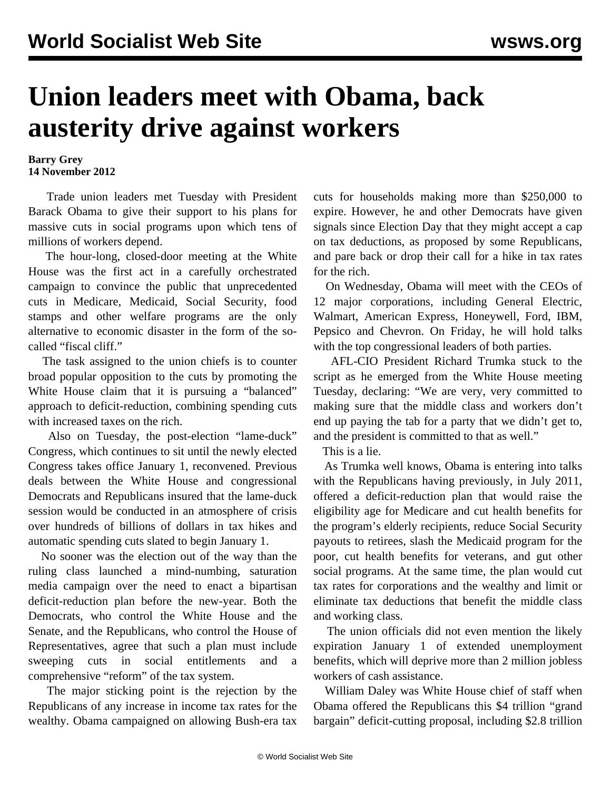## **Union leaders meet with Obama, back austerity drive against workers**

**Barry Grey 14 November 2012**

 Trade union leaders met Tuesday with President Barack Obama to give their support to his plans for massive cuts in social programs upon which tens of millions of workers depend.

 The hour-long, closed-door meeting at the White House was the first act in a carefully orchestrated campaign to convince the public that unprecedented cuts in Medicare, Medicaid, Social Security, food stamps and other welfare programs are the only alternative to economic disaster in the form of the socalled "fiscal cliff."

 The task assigned to the union chiefs is to counter broad popular opposition to the cuts by promoting the White House claim that it is pursuing a "balanced" approach to deficit-reduction, combining spending cuts with increased taxes on the rich.

 Also on Tuesday, the post-election "lame-duck" Congress, which continues to sit until the newly elected Congress takes office January 1, reconvened. Previous deals between the White House and congressional Democrats and Republicans insured that the lame-duck session would be conducted in an atmosphere of crisis over hundreds of billions of dollars in tax hikes and automatic spending cuts slated to begin January 1.

 No sooner was the election out of the way than the ruling class launched a mind-numbing, saturation media campaign over the need to enact a bipartisan deficit-reduction plan before the new-year. Both the Democrats, who control the White House and the Senate, and the Republicans, who control the House of Representatives, agree that such a plan must include sweeping cuts in social entitlements and a comprehensive "reform" of the tax system.

 The major sticking point is the rejection by the Republicans of any increase in income tax rates for the wealthy. Obama campaigned on allowing Bush-era tax cuts for households making more than \$250,000 to expire. However, he and other Democrats have given signals since Election Day that they might accept a cap on tax deductions, as proposed by some Republicans, and pare back or drop their call for a hike in tax rates for the rich.

 On Wednesday, Obama will meet with the CEOs of 12 major corporations, including General Electric, Walmart, American Express, Honeywell, Ford, IBM, Pepsico and Chevron. On Friday, he will hold talks with the top congressional leaders of both parties.

 AFL-CIO President Richard Trumka stuck to the script as he emerged from the White House meeting Tuesday, declaring: "We are very, very committed to making sure that the middle class and workers don't end up paying the tab for a party that we didn't get to, and the president is committed to that as well."

This is a lie.

 As Trumka well knows, Obama is entering into talks with the Republicans having previously, in July 2011, offered a deficit-reduction plan that would raise the eligibility age for Medicare and cut health benefits for the program's elderly recipients, reduce Social Security payouts to retirees, slash the Medicaid program for the poor, cut health benefits for veterans, and gut other social programs. At the same time, the plan would cut tax rates for corporations and the wealthy and limit or eliminate tax deductions that benefit the middle class and working class.

 The union officials did not even mention the likely expiration January 1 of extended unemployment benefits, which will deprive more than 2 million jobless workers of cash assistance.

 William Daley was White House chief of staff when Obama offered the Republicans this \$4 trillion "grand bargain" deficit-cutting proposal, including \$2.8 trillion